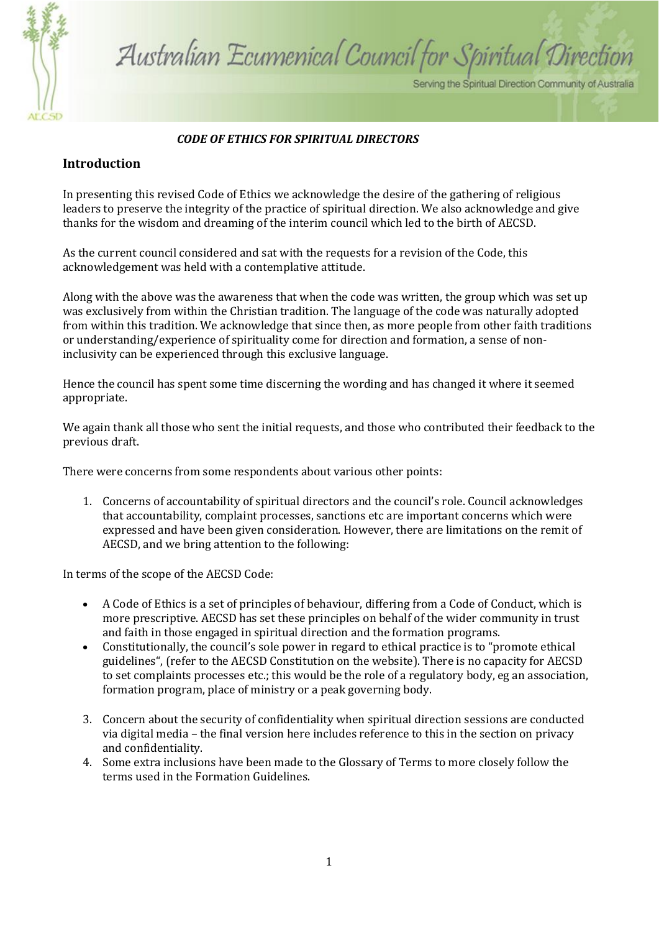

# Australian Ecumenical Council for Spiritual Direction

Serving the Spiritual Direction Community of Australia

#### *CODE OF ETHICS FOR SPIRITUAL DIRECTORS*

#### **Introduction**

In presenting this revised Code of Ethics we acknowledge the desire of the gathering of religious leaders to preserve the integrity of the practice of spiritual direction. We also acknowledge and give thanks for the wisdom and dreaming of the interim council which led to the birth of AECSD.

As the current council considered and sat with the requests for a revision of the Code, this acknowledgement was held with a contemplative attitude.

Along with the above was the awareness that when the code was written, the group which was set up was exclusively from within the Christian tradition. The language of the code was naturally adopted from within this tradition. We acknowledge that since then, as more people from other faith traditions or understanding/experience of spirituality come for direction and formation, a sense of noninclusivity can be experienced through this exclusive language.

Hence the council has spent some time discerning the wording and has changed it where it seemed appropriate.

We again thank all those who sent the initial requests, and those who contributed their feedback to the previous draft.

There were concerns from some respondents about various other points:

1. Concerns of accountability of spiritual directors and the council's role. Council acknowledges that accountability, complaint processes, sanctions etc are important concerns which were expressed and have been given consideration. However, there are limitations on the remit of AECSD, and we bring attention to the following:

In terms of the scope of the AECSD Code:

- A Code of Ethics is a set of principles of behaviour, differing from a Code of Conduct, which is more prescriptive. AECSD has set these principles on behalf of the wider community in trust and faith in those engaged in spiritual direction and the formation programs.
- Constitutionally, the council's sole power in regard to ethical practice is to "promote ethical guidelines", (refer to the AECSD Constitution on the website). There is no capacity for AECSD to set complaints processes etc.; this would be the role of a regulatory body, eg an association, formation program, place of ministry or a peak governing body.
- 3. Concern about the security of confidentiality when spiritual direction sessions are conducted via digital media – the final version here includes reference to this in the section on privacy and confidentiality.
- 4. Some extra inclusions have been made to the Glossary of Terms to more closely follow the terms used in the Formation Guidelines.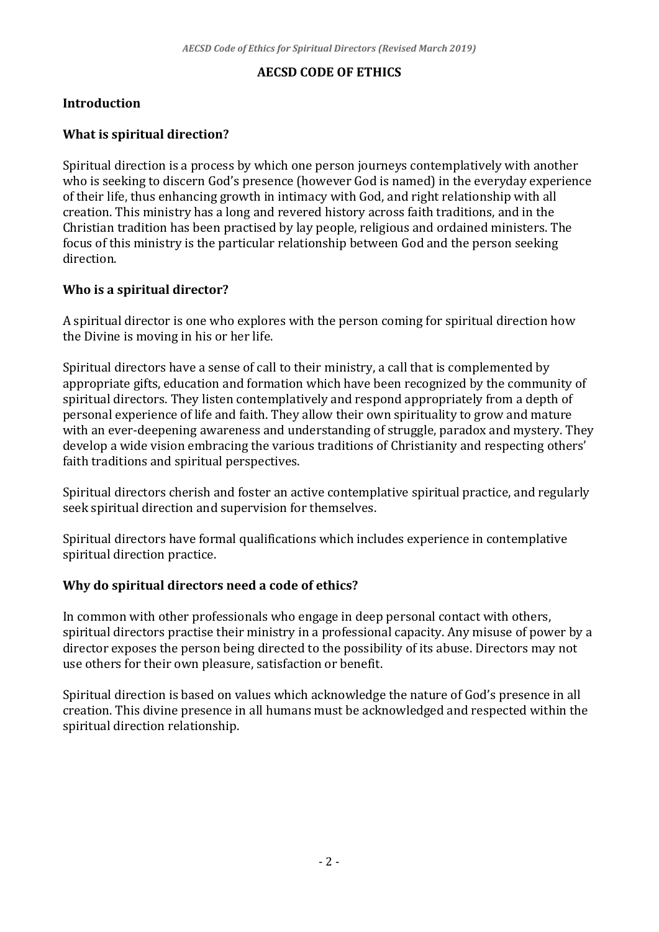#### **AECSD CODE OF ETHICS**

## **Introduction**

#### **What is spiritual direction?**

Spiritual direction is a process by which one person journeys contemplatively with another who is seeking to discern God's presence (however God is named) in the everyday experience of their life, thus enhancing growth in intimacy with God, and right relationship with all creation. This ministry has a long and revered history across faith traditions, and in the Christian tradition has been practised by lay people, religious and ordained ministers. The focus of this ministry is the particular relationship between God and the person seeking direction.

#### **Who is a spiritual director?**

A spiritual director is one who explores with the person coming for spiritual direction how the Divine is moving in his or her life.

Spiritual directors have a sense of call to their ministry, a call that is complemented by appropriate gifts, education and formation which have been recognized by the community of spiritual directors. They listen contemplatively and respond appropriately from a depth of personal experience of life and faith. They allow their own spirituality to grow and mature with an ever-deepening awareness and understanding of struggle, paradox and mystery. They develop a wide vision embracing the various traditions of Christianity and respecting others' faith traditions and spiritual perspectives.

Spiritual directors cherish and foster an active contemplative spiritual practice, and regularly seek spiritual direction and supervision for themselves.

Spiritual directors have formal qualifications which includes experience in contemplative spiritual direction practice.

#### **Why do spiritual directors need a code of ethics?**

In common with other professionals who engage in deep personal contact with others, spiritual directors practise their ministry in a professional capacity. Any misuse of power by a director exposes the person being directed to the possibility of its abuse. Directors may not use others for their own pleasure, satisfaction or benefit.

Spiritual direction is based on values which acknowledge the nature of God's presence in all creation. This divine presence in all humans must be acknowledged and respected within the spiritual direction relationship.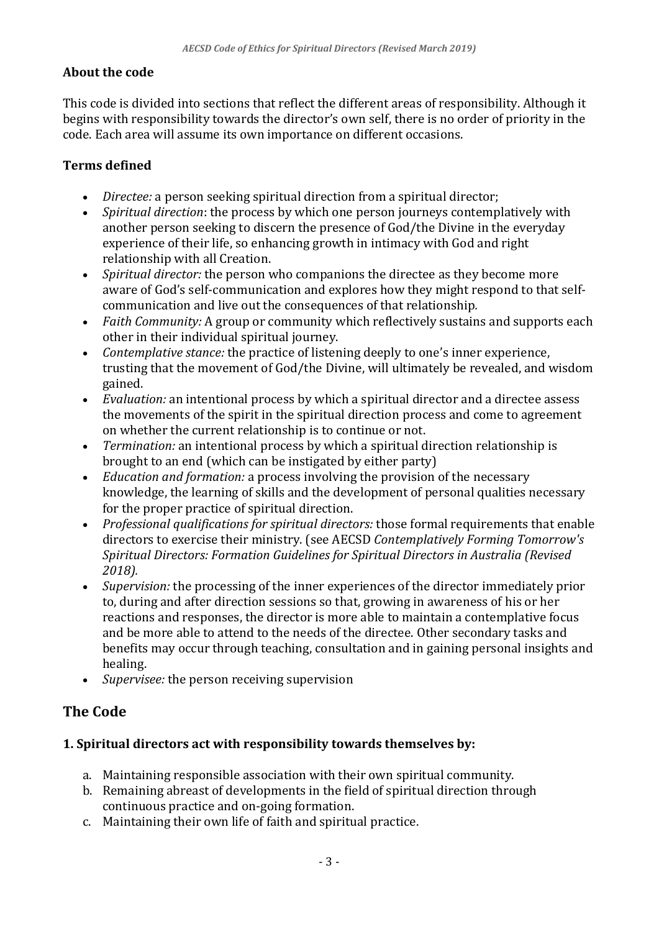#### **About the code**

This code is divided into sections that reflect the different areas of responsibility. Although it begins with responsibility towards the director's own self, there is no order of priority in the code. Each area will assume its own importance on different occasions.

#### **Terms defined**

- *Directee:* a person seeking spiritual direction from a spiritual director;
- *Spiritual direction*: the process by which one person journeys contemplatively with another person seeking to discern the presence of God/the Divine in the everyday experience of their life, so enhancing growth in intimacy with God and right relationship with all Creation.
- *Spiritual director:* the person who companions the directee as they become more aware of God's self-communication and explores how they might respond to that selfcommunication and live out the consequences of that relationship*.*
- *Faith Community:* A group or community which reflectively sustains and supports each other in their individual spiritual journey.
- *Contemplative stance:* the practice of listening deeply to one's inner experience, trusting that the movement of God/the Divine, will ultimately be revealed, and wisdom gained.
- *Evaluation:* an intentional process by which a spiritual director and a directee assess the movements of the spirit in the spiritual direction process and come to agreement on whether the current relationship is to continue or not.
- *Termination:* an intentional process by which a spiritual direction relationship is brought to an end (which can be instigated by either party)
- *Education and formation:* a process involving the provision of the necessary knowledge, the learning of skills and the development of personal qualities necessary for the proper practice of spiritual direction.
- *Professional qualifications for spiritual directors:* those formal requirements that enable directors to exercise their ministry. (see AECSD *Contemplatively Forming Tomorrow's Spiritual Directors: Formation Guidelines for Spiritual Directors in Australia (Revised 2018).*
- *Supervision:* the processing of the inner experiences of the director immediately prior to, during and after direction sessions so that, growing in awareness of his or her reactions and responses, the director is more able to maintain a contemplative focus and be more able to attend to the needs of the directee. Other secondary tasks and benefits may occur through teaching, consultation and in gaining personal insights and healing.
- *Supervisee:* the person receiving supervision

## **The Code**

## **1. Spiritual directors act with responsibility towards themselves by:**

- a. Maintaining responsible association with their own spiritual community.
- b. Remaining abreast of developments in the field of spiritual direction through continuous practice and on-going formation.
- c. Maintaining their own life of faith and spiritual practice.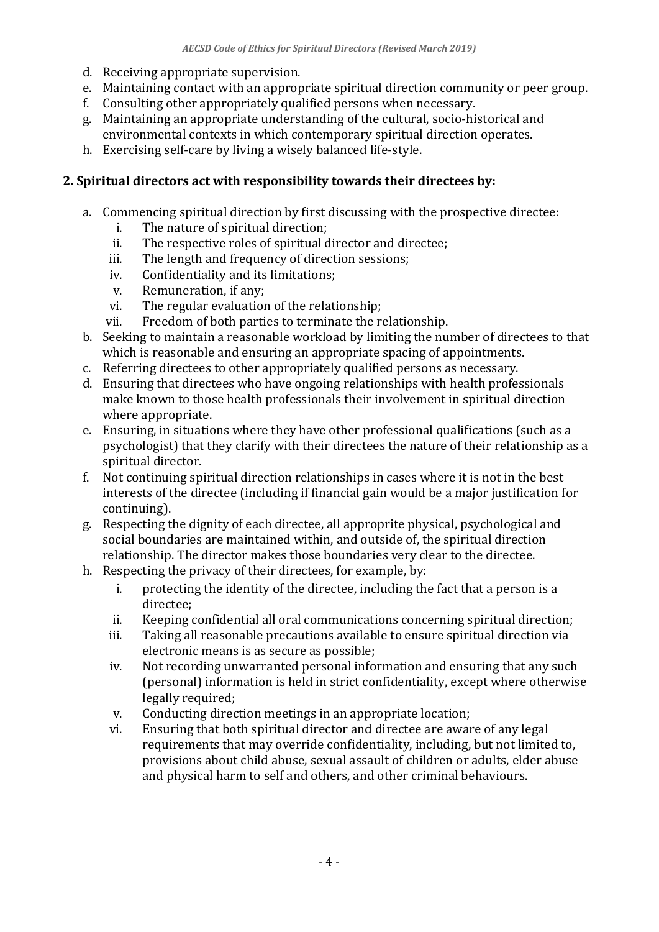- d. Receiving appropriate supervision.
- e. Maintaining contact with an appropriate spiritual direction community or peer group.
- f. Consulting other appropriately qualified persons when necessary.
- g. Maintaining an appropriate understanding of the cultural, socio-historical and environmental contexts in which contemporary spiritual direction operates.
- h. Exercising self-care by living a wisely balanced life-style.

#### **2. Spiritual directors act with responsibility towards their directees by:**

- a. Commencing spiritual direction by first discussing with the prospective directee:
	- i. The nature of spiritual direction;
	- ii. The respective roles of spiritual director and directee;
	- iii. The length and frequency of direction sessions;
	- iv. Confidentiality and its limitations;
	- v. Remuneration, if any;
	- vi. The regular evaluation of the relationship;
	- vii. Freedom of both parties to terminate the relationship.
- b. Seeking to maintain a reasonable workload by limiting the number of directees to that which is reasonable and ensuring an appropriate spacing of appointments.
- c. Referring directees to other appropriately qualified persons as necessary.
- d. Ensuring that directees who have ongoing relationships with health professionals make known to those health professionals their involvement in spiritual direction where appropriate.
- e. Ensuring, in situations where they have other professional qualifications (such as a psychologist) that they clarify with their directees the nature of their relationship as a spiritual director.
- f. Not continuing spiritual direction relationships in cases where it is not in the best interests of the directee (including if financial gain would be a major justification for continuing).
- g. Respecting the dignity of each directee, all approprite physical, psychological and social boundaries are maintained within, and outside of, the spiritual direction relationship. The director makes those boundaries very clear to the directee.
- h. Respecting the privacy of their directees, for example, by:
	- i. protecting the identity of the directee, including the fact that a person is a directee;
	- ii. Keeping confidential all oral communications concerning spiritual direction;
	- iii. Taking all reasonable precautions available to ensure spiritual direction via electronic means is as secure as possible;
	- iv. Not recording unwarranted personal information and ensuring that any such (personal) information is held in strict confidentiality, except where otherwise legally required;
	- v. Conducting direction meetings in an appropriate location;
	- vi. Ensuring that both spiritual director and directee are aware of any legal requirements that may override confidentiality, including, but not limited to, provisions about child abuse, sexual assault of children or adults, elder abuse and physical harm to self and others, and other criminal behaviours.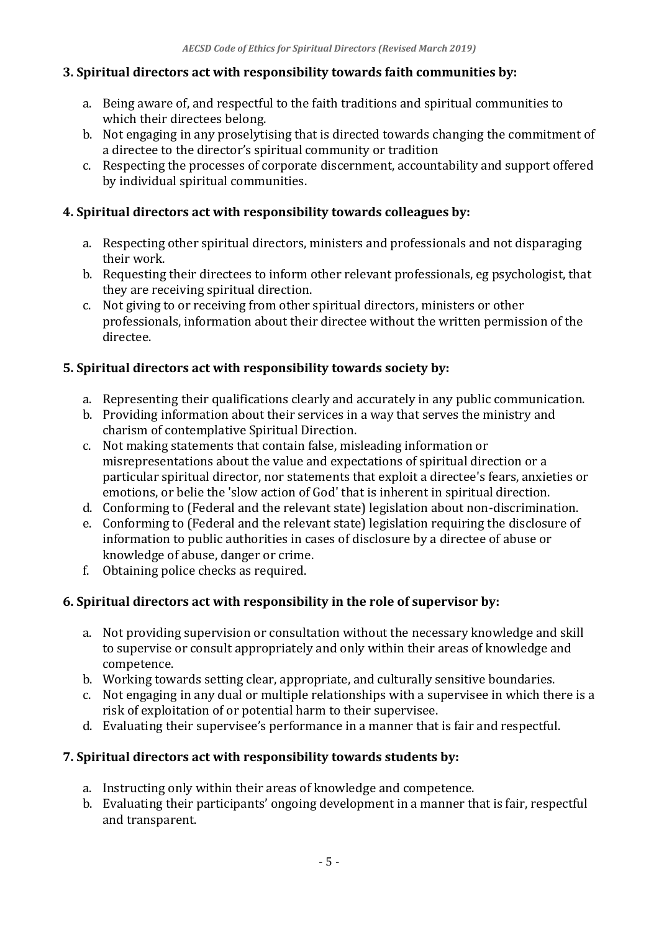#### **3. Spiritual directors act with responsibility towards faith communities by:**

- a. Being aware of, and respectful to the faith traditions and spiritual communities to which their directees belong.
- b. Not engaging in any proselytising that is directed towards changing the commitment of a directee to the director's spiritual community or tradition
- c. Respecting the processes of corporate discernment, accountability and support offered by individual spiritual communities.

#### **4. Spiritual directors act with responsibility towards colleagues by:**

- a. Respecting other spiritual directors, ministers and professionals and not disparaging their work.
- b. Requesting their directees to inform other relevant professionals, eg psychologist, that they are receiving spiritual direction.
- c. Not giving to or receiving from other spiritual directors, ministers or other professionals, information about their directee without the written permission of the directee.

#### **5. Spiritual directors act with responsibility towards society by:**

- a. Representing their qualifications clearly and accurately in any public communication.
- b. Providing information about their services in a way that serves the ministry and charism of contemplative Spiritual Direction.
- c. Not making statements that contain false, misleading information or misrepresentations about the value and expectations of spiritual direction or a particular spiritual director, nor statements that exploit a directee's fears, anxieties or emotions, or belie the 'slow action of God' that is inherent in spiritual direction.
- d. Conforming to (Federal and the relevant state) legislation about non-discrimination.
- e. Conforming to (Federal and the relevant state) legislation requiring the disclosure of information to public authorities in cases of disclosure by a directee of abuse or knowledge of abuse, danger or crime.
- f. Obtaining police checks as required.

## **6. Spiritual directors act with responsibility in the role of supervisor by:**

- a. Not providing supervision or consultation without the necessary knowledge and skill to supervise or consult appropriately and only within their areas of knowledge and competence.
- b. Working towards setting clear, appropriate, and culturally sensitive boundaries.
- c. Not engaging in any dual or multiple relationships with a supervisee in which there is a risk of exploitation of or potential harm to their supervisee.
- d. Evaluating their supervisee's performance in a manner that is fair and respectful.

## **7. Spiritual directors act with responsibility towards students by:**

- a. Instructing only within their areas of knowledge and competence.
- b. Evaluating their participants' ongoing development in a manner that is fair, respectful and transparent.